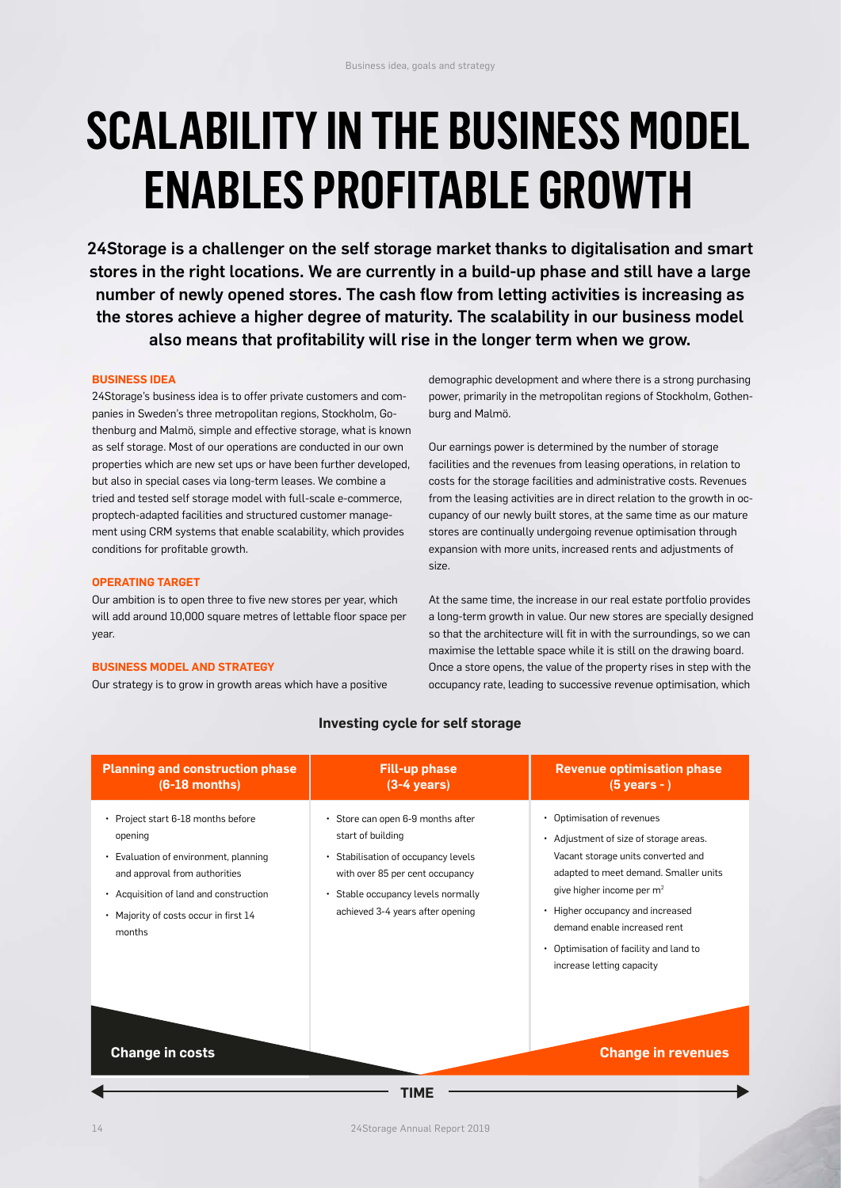# **SCALABILITY IN THE BUSINESS MODEL ENABLES PROFITABLE GROWTH**

24Storage is a challenger on the self storage market thanks to digitalisation and smart stores in the right locations. We are currently in a build-up phase and still have a large number of newly opened stores. The cash flow from letting activities is increasing as the stores achieve a higher degree of maturity. The scalability in our business model also means that profitability will rise in the longer term when we grow.

### **BUSINESS IDEA**

24Storage's business idea is to offer private customers and companies in Sweden's three metropolitan regions, Stockholm, Gothenburg and Malmö, simple and effective storage, what is known as self storage. Most of our operations are conducted in our own properties which are new set ups or have been further developed, but also in special cases via long-term leases. We combine a tried and tested self storage model with full-scale e-commerce, proptech-adapted facilities and structured customer management using CRM systems that enable scalability, which provides conditions for profitable growth.

### **OPERATING TARGET**

Our ambition is to open three to five new stores per year, which will add around 10,000 square metres of lettable floor space per year.

# **BUSINESS MODEL AND STRATEGY**

Our strategy is to grow in growth areas which have a positive

demographic development and where there is a strong purchasing power, primarily in the metropolitan regions of Stockholm, Gothenburg and Malmö.

Our earnings power is determined by the number of storage facilities and the revenues from leasing operations, in relation to costs for the storage facilities and administrative costs. Revenues from the leasing activities are in direct relation to the growth in occupancy of our newly built stores, at the same time as our mature stores are continually undergoing revenue optimisation through expansion with more units, increased rents and adjustments of size.

At the same time, the increase in our real estate portfolio provides a long-term growth in value. Our new stores are specially designed so that the architecture will fit in with the surroundings, so we can maximise the lettable space while it is still on the drawing board. Once a store opens, the value of the property rises in step with the occupancy rate, leading to successive revenue optimisation, which

| <b>Planning and construction phase</b><br>$(6-18$ months)                                                                                                                                                          | <b>Fill-up phase</b><br>$(3-4 \text{ years})$                                                                                                                                                              | <b>Revenue optimisation phase</b><br>$(5$ years - $)$                                                                                                                                                                                                                                                                                 |
|--------------------------------------------------------------------------------------------------------------------------------------------------------------------------------------------------------------------|------------------------------------------------------------------------------------------------------------------------------------------------------------------------------------------------------------|---------------------------------------------------------------------------------------------------------------------------------------------------------------------------------------------------------------------------------------------------------------------------------------------------------------------------------------|
| • Project start 6-18 months before<br>opening<br>Evaluation of environment, planning<br>and approval from authorities<br>• Acquisition of land and construction<br>• Majority of costs occur in first 14<br>months | · Store can open 6-9 months after<br>start of building<br>• Stabilisation of occupancy levels<br>with over 85 per cent occupancy<br>• Stable occupancy levels normally<br>achieved 3-4 years after opening | Optimisation of revenues<br>• Adjustment of size of storage areas.<br>Vacant storage units converted and<br>adapted to meet demand. Smaller units<br>give higher income per m <sup>2</sup><br>• Higher occupancy and increased<br>demand enable increased rent<br>• Optimisation of facility and land to<br>increase letting capacity |
| <b>Change in costs</b>                                                                                                                                                                                             | 1 IME                                                                                                                                                                                                      | <b>Change in revenues</b>                                                                                                                                                                                                                                                                                                             |

# **Investing cycle for self storage**

14 24Storage Annual Report 2019